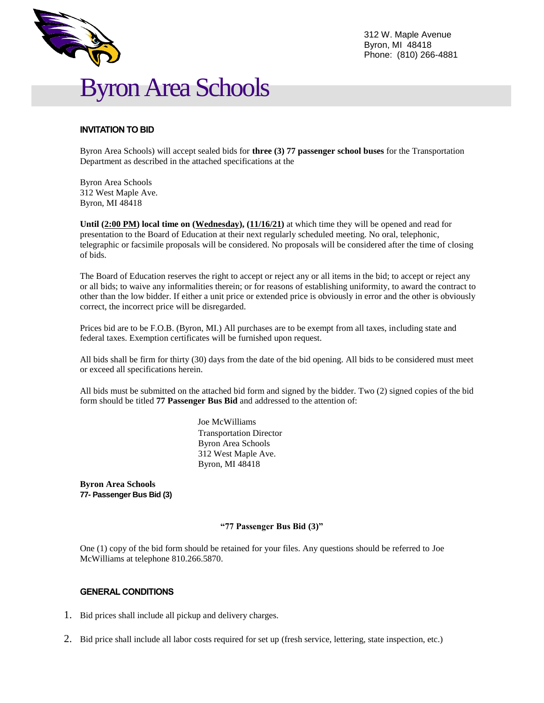



# **INVITATION TO BID**

Byron Area Schools) will accept sealed bids for **three (3) 77 passenger school buses** for the Transportation Department as described in the attached specifications at the

Byron Area Schools 312 West Maple Ave. Byron, MI 48418

Until (2:00 PM) local time on (Wednesday), (11/16/21) at which time they will be opened and read for presentation to the Board of Education at their next regularly scheduled meeting. No oral, telephonic, telegraphic or facsimile proposals will be considered. No proposals will be considered after the time of closing of bids.

The Board of Education reserves the right to accept or reject any or all items in the bid; to accept or reject any or all bids; to waive any informalities therein; or for reasons of establishing uniformity, to award the contract to other than the low bidder. If either a unit price or extended price is obviously in error and the other is obviously correct, the incorrect price will be disregarded.

Prices bid are to be F.O.B. (Byron, MI.) All purchases are to be exempt from all taxes, including state and federal taxes. Exemption certificates will be furnished upon request.

All bids shall be firm for thirty (30) days from the date of the bid opening. All bids to be considered must meet or exceed all specifications herein.

All bids must be submitted on the attached bid form and signed by the bidder. Two (2) signed copies of the bid form should be titled **77 Passenger Bus Bid** and addressed to the attention of:

> Joe McWilliams Transportation Director Byron Area Schools 312 West Maple Ave. Byron, MI 48418

**Byron Area Schools 77- Passenger Bus Bid (3)**

### **"77 Passenger Bus Bid (3)"**

One (1) copy of the bid form should be retained for your files. Any questions should be referred to Joe McWilliams at telephone 810.266.5870.

### **GENERAL CONDITIONS**

- 1. Bid prices shall include all pickup and delivery charges.
- 2. Bid price shall include all labor costs required for set up (fresh service, lettering, state inspection, etc.)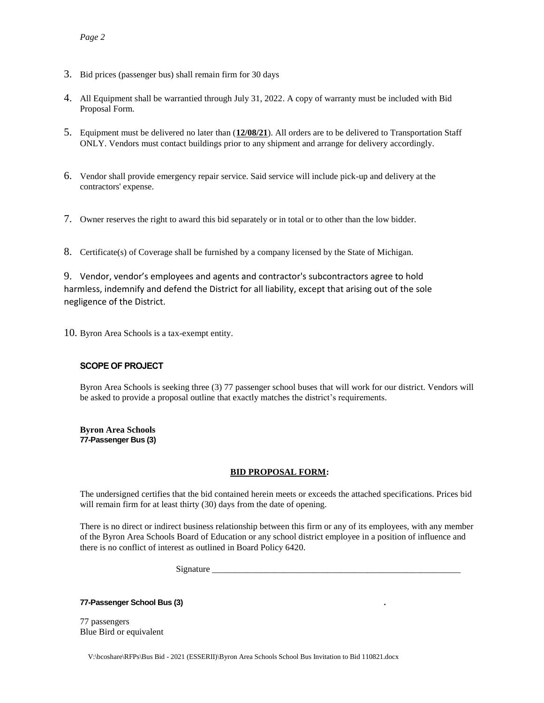- 3. Bid prices (passenger bus) shall remain firm for 30 days
- 4. All Equipment shall be warrantied through July 31, 2022. A copy of warranty must be included with Bid Proposal Form.
- 5. Equipment must be delivered no later than (**12/08/21**). All orders are to be delivered to Transportation Staff ONLY. Vendors must contact buildings prior to any shipment and arrange for delivery accordingly.
- 6. Vendor shall provide emergency repair service. Said service will include pick-up and delivery at the contractors' expense.
- 7. Owner reserves the right to award this bid separately or in total or to other than the low bidder.
- 8. Certificate(s) of Coverage shall be furnished by a company licensed by the State of Michigan.

9. Vendor, vendor's employees and agents and contractor's subcontractors agree to hold harmless, indemnify and defend the District for all liability, except that arising out of the sole negligence of the District.

10. Byron Area Schools is a tax-exempt entity.

## **SCOPE OF PROJECT**

Byron Area Schools is seeking three (3) 77 passenger school buses that will work for our district. Vendors will be asked to provide a proposal outline that exactly matches the district's requirements.

**Byron Area Schools 77-Passenger Bus (3)**

## **BID PROPOSAL FORM:**

The undersigned certifies that the bid contained herein meets or exceeds the attached specifications. Prices bid will remain firm for at least thirty (30) days from the date of opening.

There is no direct or indirect business relationship between this firm or any of its employees, with any member of the Byron Area Schools Board of Education or any school district employee in a position of influence and there is no conflict of interest as outlined in Board Policy 6420.

Signature

**77-Passenger School Bus (3) .**

77 passengers Blue Bird or equivalent

V:\bcoshare\RFPs\Bus Bid - 2021 (ESSERII)\Byron Area Schools School Bus Invitation to Bid 110821.docx